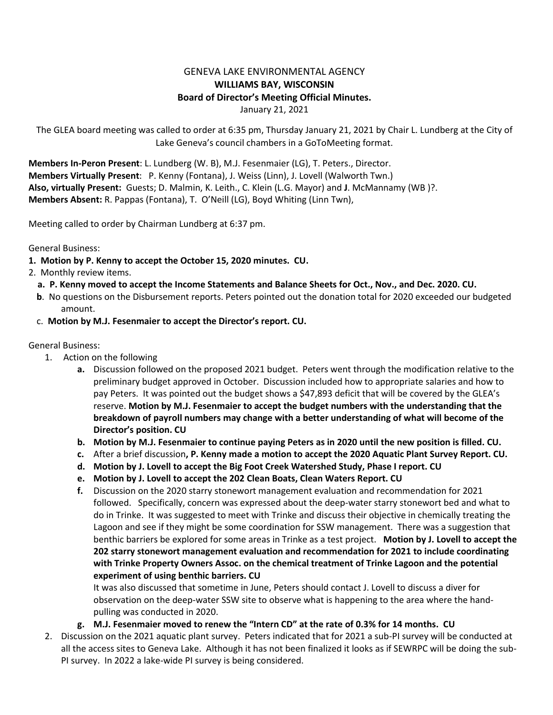## GENEVA LAKE ENVIRONMENTAL AGENCY **WILLIAMS BAY, WISCONSIN Board of Director's Meeting Official Minutes.** January 21, 2021

The GLEA board meeting was called to order at 6:35 pm, Thursday January 21, 2021 by Chair L. Lundberg at the City of Lake Geneva's council chambers in a GoToMeeting format.

**Members In-Peron Present**: L. Lundberg (W. B), M.J. Fesenmaier (LG), T. Peters., Director. **Members Virtually Present**: P. Kenny (Fontana), J. Weiss (Linn), J. Lovell (Walworth Twn.) **Also, virtually Present:** Guests; D. Malmin, K. Leith., C. Klein (L.G. Mayor) and **J**. McMannamy (WB )?. **Members Absent:** R. Pappas (Fontana), T. O'Neill (LG), Boyd Whiting (Linn Twn),

Meeting called to order by Chairman Lundberg at 6:37 pm.

General Business:

- **1. Motion by P. Kenny to accept the October 15, 2020 minutes. CU.**
- 2. Monthly review items.
	- **a. P. Kenny moved to accept the Income Statements and Balance Sheets for Oct., Nov., and Dec. 2020. CU.**
	- **b**. No questions on the Disbursement reports. Peters pointed out the donation total for 2020 exceeded our budgeted amount.
	- c. **Motion by M.J. Fesenmaier to accept the Director's report. CU.**

## General Business:

- 1. Action on the following
	- **a.** Discussion followed on the proposed 2021 budget. Peters went through the modification relative to the preliminary budget approved in October. Discussion included how to appropriate salaries and how to pay Peters. It was pointed out the budget shows a \$47,893 deficit that will be covered by the GLEA's reserve. **Motion by M.J. Fesenmaier to accept the budget numbers with the understanding that the breakdown of payroll numbers may change with a better understanding of what will become of the Director's position. CU**
	- **b. Motion by M.J. Fesenmaier to continue paying Peters as in 2020 until the new position is filled. CU.**
	- **c.** After a brief discussion**, P. Kenny made a motion to accept the 2020 Aquatic Plant Survey Report. CU.**
	- **d. Motion by J. Lovell to accept the Big Foot Creek Watershed Study, Phase I report. CU**
	- **e. Motion by J. Lovell to accept the 202 Clean Boats, Clean Waters Report. CU**
	- **f.** Discussion on the 2020 starry stonewort management evaluation and recommendation for 2021 followed. Specifically, concern was expressed about the deep-water starry stonewort bed and what to do in Trinke. It was suggested to meet with Trinke and discuss their objective in chemically treating the Lagoon and see if they might be some coordination for SSW management. There was a suggestion that benthic barriers be explored for some areas in Trinke as a test project. **Motion by J. Lovell to accept the 202 starry stonewort management evaluation and recommendation for 2021 to include coordinating with Trinke Property Owners Assoc. on the chemical treatment of Trinke Lagoon and the potential experiment of using benthic barriers. CU**

It was also discussed that sometime in June, Peters should contact J. Lovell to discuss a diver for observation on the deep-water SSW site to observe what is happening to the area where the handpulling was conducted in 2020.

- **g. M.J. Fesenmaier moved to renew the "Intern CD" at the rate of 0.3% for 14 months. CU**
- 2. Discussion on the 2021 aquatic plant survey. Peters indicated that for 2021 a sub-PI survey will be conducted at all the access sites to Geneva Lake. Although it has not been finalized it looks as if SEWRPC will be doing the sub-PI survey. In 2022 a lake-wide PI survey is being considered.